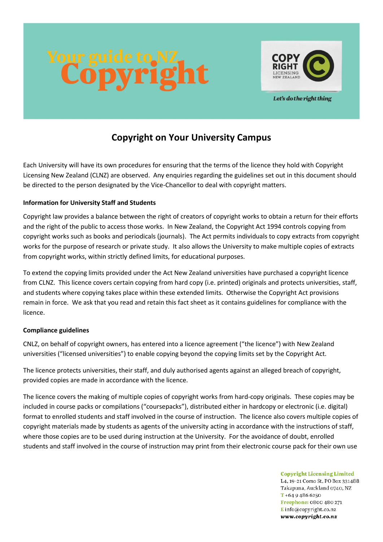



Let's do the right thing

# **Copyright on Your University Campus**

Each University will have its own procedures for ensuring that the terms of the licence they hold with Copyright Licensing New Zealand (CLNZ) are observed. Any enquiries regarding the guidelines set out in this document should be directed to the person designated by the Vice-Chancellor to deal with copyright matters.

## **Information for University Staff and Students**

Copyright law provides a balance between the right of creators of copyright works to obtain a return for their efforts and the right of the public to access those works. In New Zealand, the Copyright Act 1994 controls copying from copyright works such as books and periodicals (journals). The Act permits individuals to copy extracts from copyright works for the purpose of research or private study. It also allows the University to make multiple copies of extracts from copyright works, within strictly defined limits, for educational purposes.

To extend the copying limits provided under the Act New Zealand universities have purchased a copyright licence from CLNZ. This licence covers certain copying from hard copy (i.e. printed) originals and protects universities, staff, and students where copying takes place within these extended limits. Otherwise the Copyright Act provisions remain in force. We ask that you read and retain this fact sheet as it contains guidelines for compliance with the licence.

### **Compliance guidelines**

CNLZ, on behalf of copyright owners, has entered into a licence agreement ("the licence") with New Zealand universities ("licensed universities") to enable copying beyond the copying limits set by the Copyright Act.

The licence protects universities, their staff, and duly authorised agents against an alleged breach of copyright, provided copies are made in accordance with the licence.

The licence covers the making of multiple copies of copyright works from hard-copy originals. These copies may be included in course packs or compilations ("coursepacks"), distributed either in hardcopy or electronic (i.e. digital) format to enrolled students and staff involved in the course of instruction. The licence also covers multiple copies of copyright materials made by students as agents of the university acting in accordance with the instructions of staff, where those copies are to be used during instruction at the University. For the avoidance of doubt, enrolled students and staff involved in the course of instruction may print from their electronic course pack for their own use

> **Copyright Licensing Limited** L4, 19-21 Como St, PO Box 331488. Takapuna, Auckland 0740, NZ  $T + 6494866250$ Freephone: 0800 480 271 Einfo@copyright.co.nz www.copyright.co.nz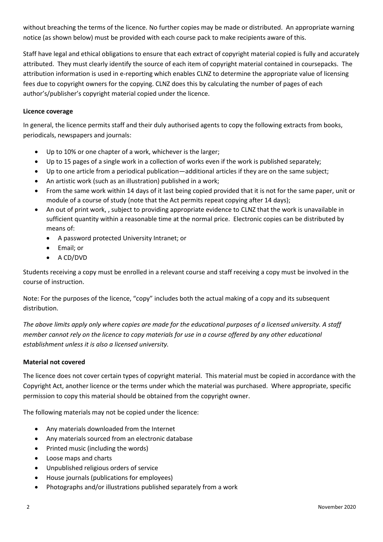without breaching the terms of the licence. No further copies may be made or distributed. An appropriate warning notice (as shown below) must be provided with each course pack to make recipients aware of this.

Staff have legal and ethical obligations to ensure that each extract of copyright material copied is fully and accurately attributed. They must clearly identify the source of each item of copyright material contained in coursepacks. The attribution information is used in e-reporting which enables CLNZ to determine the appropriate value of licensing fees due to copyright owners for the copying. CLNZ does this by calculating the number of pages of each author's/publisher's copyright material copied under the licence.

### **Licence coverage**

In general, the licence permits staff and their duly authorised agents to copy the following extracts from books, periodicals, newspapers and journals:

- Up to 10% or one chapter of a work, whichever is the larger:
- Up to 15 pages of a single work in a collection of works even if the work is published separately;
- Up to one article from a periodical publication—additional articles if they are on the same subject;
- An artistic work (such as an illustration) published in a work;
- From the same work within 14 days of it last being copied provided that it is not for the same paper, unit or module of a course of study (note that the Act permits repeat copying after 14 days);
- An out of print work, , subject to providing appropriate evidence to CLNZ that the work is unavailable in sufficient quantity within a reasonable time at the normal price. Electronic copies can be distributed by means of:
	- A password protected University Intranet; or
	- Email; or
	- A CD/DVD

Students receiving a copy must be enrolled in a relevant course and staff receiving a copy must be involved in the course of instruction.

Note: For the purposes of the licence, "copy" includes both the actual making of a copy and its subsequent distribution.

*The above limits apply only where copies are made for the educational purposes of a licensed university. A staff member cannot rely on the licence to copy materials for use in a course offered by any other educational establishment unless it is also a licensed university.*

#### **Material not covered**

The licence does not cover certain types of copyright material. This material must be copied in accordance with the Copyright Act, another licence or the terms under which the material was purchased. Where appropriate, specific permission to copy this material should be obtained from the copyright owner.

The following materials may not be copied under the licence:

- Any materials downloaded from the Internet
- Any materials sourced from an electronic database
- Printed music (including the words)
- Loose maps and charts
- Unpublished religious orders of service
- House journals (publications for employees)
- Photographs and/or illustrations published separately from a work